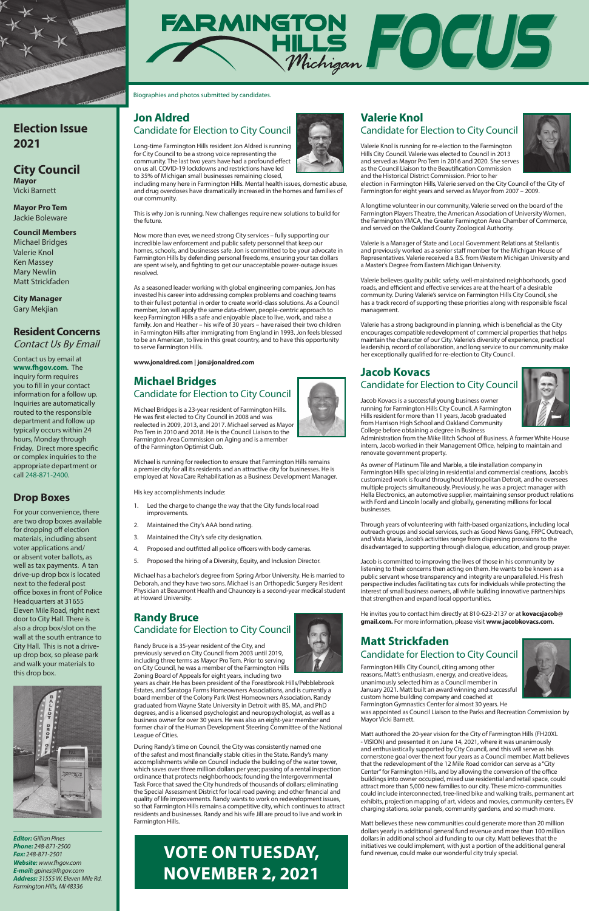# **Jon Aldred**  Candidate for Election to City Council

Long-time Farmington Hills resident Jon Aldred is running for City Council to be a strong voice representing the community. The last two years have had a profound effect on us all. COVID-19 lockdowns and restrictions have led to 35% of Michigan small businesses remaining closed,

including many here in Farmington Hills. Mental health issues, domestic abuse, and drug overdoses have dramatically increased in the homes and families of our community.

This is why Jon is running. New challenges require new solutions to build for the future.

Now more than ever, we need strong City services – fully supporting our incredible law enforcement and public safety personnel that keep our homes, schools, and businesses safe. Jon is committed to be your advocate in Farmington Hills by defending personal freedoms, ensuring your tax dollars are spent wisely, and fighting to get our unacceptable power-outage issues resolved.

As a seasoned leader working with global engineering companies, Jon has invested his career into addressing complex problems and coaching teams to their fullest potential in order to create world-class solutions. As a Council member, Jon will apply the same data-driven, people-centric approach to keep Farmington Hills a safe and enjoyable place to live, work, and raise a family. Jon and Heather – his wife of 30 years – have raised their two children in Farmington Hills after immigrating from England in 1993. Jon feels blessed to be an American, to live in this great country, and to have this opportunity to serve Farmington Hills.

**www.jonaldred.com | jon@jonaldred.com**

# **Michael Bridges**  Candidate for Election to City Council

Michael Bridges is a 23-year resident of Farmington Hills. He was first elected to City Council in 2008 and was reelected in 2009, 2013, and 2017. Michael served as Mayor Pro Tem in 2010 and 2018. He is the Council Liaison to the Farmington Area Commission on Aging and is a member of the Farmington Optimist Club.

Michael is running for reelection to ensure that Farmington Hills remains a premier city for all its residents and an attractive city for businesses. He is employed at NovaCare Rehabilitation as a Business Development Manager.

His key accomplishments include:

- 1. Led the charge to change the way that the City funds local road improvements.
- 2. Maintained the City's AAA bond rating.
- 3. Maintained the City's safe city designation.
- 4. Proposed and outfitted all police officers with body cameras.
- 5. Proposed the hiring of a Diversity, Equity, and Inclusion Director.

Michael has a bachelor's degree from Spring Arbor University. He is married to Deborah, and they have two sons. Michael is an Orthopedic Surgery Resident Physician at Beaumont Health and Chauncey is a second-year medical student at Howard University.

# **Randy Bruce**  Candidate for Election to City Council

Randy Bruce is a 35-year resident of the City, and previously served on City Council from 2003 until 2019, including three terms as Mayor Pro Tem. Prior to serving on City Council, he was a member of the Farmington Hills



Zoning Board of Appeals for eight years, including two

years as chair. He has been president of the Forestbrook Hills/Pebblebrook Estates, and Saratoga Farms Homeowners Associations, and is currently a board member of the Colony Park West Homeowners Association. Randy graduated from Wayne State University in Detroit with BS, MA, and PhD degrees, and is a licensed psychologist and neuropsychologist, as well as a business owner for over 30 years. He was also an eight-year member and former chair of the Human Development Steering Committee of the National League of Cities.

During Randy's time on Council, the City was consistently named one of the safest and most financially stable cities in the State. Randy's many accomplishments while on Council include the building of the water tower, which saves over three million dollars per year; passing of a rental inspection ordinance that protects neighborhoods; founding the Intergovernmental Task Force that saved the City hundreds of thousands of dollars; eliminating the Special Assessment District for local road paving; and other financial and quality of life improvements. Randy wants to work on redevelopment issues, so that Farmington Hills remains a competitive city, which continues to attract residents and businesses. Randy and his wife Jill are proud to live and work in Farmington Hills.

# **Valerie Knol**  Candidate for Election to City Council

Valerie Knol is running for re-election to the Farmington Hills City Council. Valerie was elected to Council in 2013 and served as Mayor Pro Tem in 2016 and 2020. She serves as the Council Liaison to the Beautification Commission and the Historical District Commission. Prior to her



election in Farmington Hills, Valerie served on the City Council of the City of Farmington for eight years and served as Mayor from 2007 – 2009.

A longtime volunteer in our community, Valerie served on the board of the Farmington Players Theatre, the American Association of University Women, the Farmington YMCA, the Greater Farmington Area Chamber of Commerce, and served on the Oakland County Zoological Authority.

Valerie is a Manager of State and Local Government Relations at Stellantis and previously worked as a senior staff member for the Michigan House of Representatives. Valerie received a B.S. from Western Michigan University and a Master's Degree from Eastern Michigan University.

Valerie believes quality public safety, well-maintained neighborhoods, good roads, and efficient and effective services are at the heart of a desirable community. During Valerie's service on Farmington Hills City Council, she has a track record of supporting these priorities along with responsible fiscal management.

Valerie has a strong background in planning, which is beneficial as the City encourages compatible redevelopment of commercial properties that helps maintain the character of our City. Valerie's diversity of experience, practical leadership, record of collaboration, and long service to our community make her exceptionally qualified for re-election to City Council.

# **Jacob Kovacs**  Candidate for Election to City Council

Jacob Kovacs is a successful young business owner running for Farmington Hills City Council. A Farmington Hills resident for more than 11 years, Jacob graduated from Harrison High School and Oakland Community



College before obtaining a degree in Business Administration from the Mike Ilitch School of Business. A former White House

intern, Jacob worked in their Management Office, helping to maintain and renovate government property. As owner of Platinum Tile and Marble, a tile installation company in

Farmington Hills specializing in residential and commercial creations, Jacob's customized work is found throughout Metropolitan Detroit, and he oversees multiple projects simultaneously. Previously, he was a project manager with Hella Electronics, an automotive supplier, maintaining sensor product relations with Ford and Lincoln locally and globally, generating millions for local businesses.

Through years of volunteering with faith-based organizations, including local outreach groups and social services, such as Good News Gang, FRPC Outreach, and Vista Maria, Jacob's activities range from dispersing provisions to the disadvantaged to supporting through dialogue, education, and group prayer.

Jacob is committed to improving the lives of those in his community by listening to their concerns then acting on them. He wants to be known as a public servant whose transparency and integrity are unparalleled. His fresh perspective includes facilitating tax cuts for individuals while protecting the interest of small business owners, all while building innovative partnerships that strengthen and expand local opportunities.

He invites you to contact him directly at 810-623-2137 or at **kovacsjacob@ gmail.com.** For more information, please visit **www.jacobkovacs.com**.

# **Matt Strickfaden**

Candidate for Election to City Council





Farmington Hills City Council, citing among other reasons, Matt's enthusiasm, energy, and creative ideas, unanimously selected him as a Council member in January 2021. Matt built an award winning and successful custom home building company and coached at Farmington Gymnastics Center for almost 30 years. He

was appointed as Council Liaison to the Parks and Recreation Commission by Mayor Vicki Barnett.

Matt authored the 20-year vision for the City of Farmington Hills (FH20XL - VISION) and presented it on June 14, 2021, where it was unanimously and enthusiastically supported by City Council, and this will serve as his cornerstone goal over the next four years as a Council member. Matt believes that the redevelopment of the 12 Mile Road corridor can serve as a "City Center" for Farmington Hills, and by allowing the conversion of the office buildings into owner occupied, mixed use residential and retail space, could attract more than 5,000 new families to our city. These micro-communities could include interconnected, tree-lined bike and walking trails, permanent art exhibits, projection mapping of art, videos and movies, community centers, EV charging stations, solar panels, community gardens, and so much more.

Matt believes these new communities could generate more than 20 million dollars yearly in additional general fund revenue and more than 100 million dollars in additional school aid funding to our city. Matt believes that the initiatives we could implement, with just a portion of the additional general fund revenue, could make our wonderful city truly special.



# **Election Issue 2021**

### **City Council Mayor**

Vicki Barnett

**Mayor Pro Tem**  Jackie Boleware

### **Council Members**

Michael Bridges Valerie Knol Ken Massey Mary Newlin Matt Strickfaden

**City Manager**  Gary Mekjian

# **Resident Concerns**  Contact Us By Email

Contact us by email at **www.fhgov.com**. The inquiry form requires you to fill in your contact information for a follow up. Inquiries are automatically routed to the responsible department and follow up typically occurs within 24 hours, Monday through Friday. Direct more specific or complex inquiries to the appropriate department or call 248-871-2400.

# **Drop Boxes**

For your convenience, there are two drop boxes available for dropping off election materials, including absent voter applications and/ or absent voter ballots, as well as tax payments. A tan drive-up drop box is located next to the federal post office boxes in front of Police Headquarters at 31655 Eleven Mile Road, right next door to City Hall. There is also a drop box/slot on the wall at the south entrance to City Hall. This is not a driveup drop box, so please park and walk your materials to



### this drop box.



*Editor: Gillian Pines Phone: 248-871-2500 Fax: 248-871-2501 Website: www.fhgov.com E-mail: gpines@fhgov.com Address: 31555 W. Eleven Mile Rd. Farmington Hills, MI 48336*

Biographies and photos submitted by candidates.

# **VOTE ON TUESDAY, NOVEMBER 2, 2021**